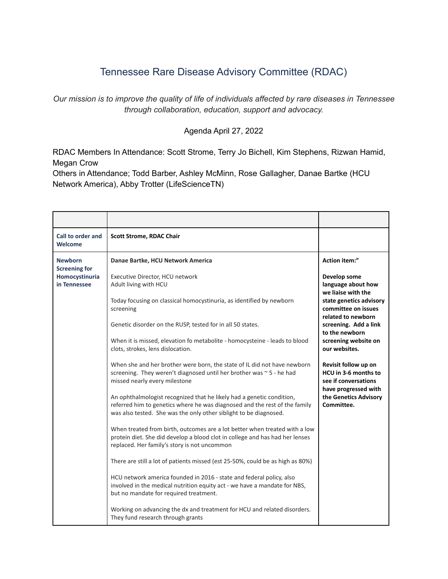## Tennessee Rare Disease Advisory Committee (RDAC)

*Our mission is to improve the quality of life of individuals affected by rare diseases in Tennessee through collaboration, education, support and advocacy.*

## Agenda April 27, 2022

RDAC Members In Attendance: Scott Strome, Terry Jo Bichell, Kim Stephens, Rizwan Hamid, Megan Crow

Others in Attendance; Todd Barber, Ashley McMinn, Rose Gallagher, Danae Bartke (HCU Network America), Abby Trotter (LifeScienceTN)

| Call to order and<br><b>Welcome</b>                                      | <b>Scott Strome, RDAC Chair</b>                                                                                                                                                                                          |                                                                                                                                                                                                                                                                                                                                                             |
|--------------------------------------------------------------------------|--------------------------------------------------------------------------------------------------------------------------------------------------------------------------------------------------------------------------|-------------------------------------------------------------------------------------------------------------------------------------------------------------------------------------------------------------------------------------------------------------------------------------------------------------------------------------------------------------|
| <b>Newborn</b><br><b>Screening for</b><br>Homocystinuria<br>in Tennessee | Danae Bartke, HCU Network America                                                                                                                                                                                        | Action item:"                                                                                                                                                                                                                                                                                                                                               |
|                                                                          | Executive Director, HCU network<br>Adult living with HCU                                                                                                                                                                 | Develop some<br>language about how<br>we liaise with the<br>state genetics advisory<br>committee on issues<br>related to newborn<br>screening. Add a link<br>to the newborn<br>screening website on<br>our websites.<br>Revisit follow up on<br>HCU in 3-6 months to<br>see if conversations<br>have progressed with<br>the Genetics Advisory<br>Committee. |
|                                                                          | Today focusing on classical homocystinuria, as identified by newborn<br>screening                                                                                                                                        |                                                                                                                                                                                                                                                                                                                                                             |
|                                                                          | Genetic disorder on the RUSP, tested for in all 50 states.                                                                                                                                                               |                                                                                                                                                                                                                                                                                                                                                             |
|                                                                          | When it is missed, elevation fo metabolite - homocysteine - leads to blood<br>clots, strokes, lens dislocation.                                                                                                          |                                                                                                                                                                                                                                                                                                                                                             |
|                                                                          | When she and her brother were born, the state of IL did not have newborn<br>screening. They weren't diagnosed until her brother was ~ 5 - he had<br>missed nearly every milestone                                        |                                                                                                                                                                                                                                                                                                                                                             |
|                                                                          | An ophthalmologist recognized that he likely had a genetic condition,<br>referred him to genetics where he was diagnosed and the rest of the family<br>was also tested. She was the only other siblight to be diagnosed. |                                                                                                                                                                                                                                                                                                                                                             |
|                                                                          | When treated from birth, outcomes are a lot better when treated with a low<br>protein diet. She did develop a blood clot in college and has had her lenses<br>replaced. Her family's story is not uncommon               |                                                                                                                                                                                                                                                                                                                                                             |
|                                                                          | There are still a lot of patients missed (est 25-50%, could be as high as 80%)                                                                                                                                           |                                                                                                                                                                                                                                                                                                                                                             |
|                                                                          | HCU network america founded in 2016 - state and federal policy, also<br>involved in the medical nutrition equity act - we have a mandate for NBS,<br>but no mandate for required treatment.                              |                                                                                                                                                                                                                                                                                                                                                             |
|                                                                          | Working on advancing the dx and treatment for HCU and related disorders.<br>They fund research through grants                                                                                                            |                                                                                                                                                                                                                                                                                                                                                             |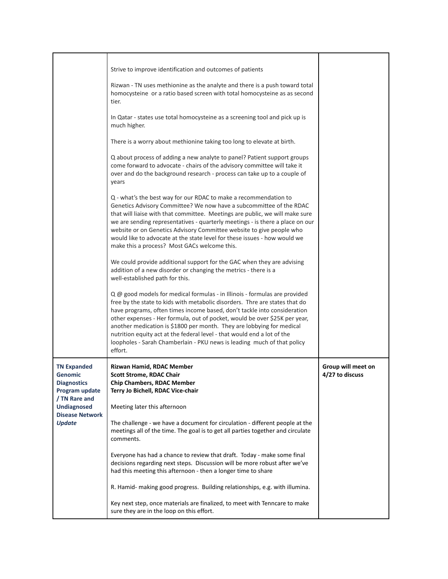|                                                                                | Strive to improve identification and outcomes of patients                                                                                                                                                                                                                                                                                                                                                                                                                                                                                                     |                                       |
|--------------------------------------------------------------------------------|---------------------------------------------------------------------------------------------------------------------------------------------------------------------------------------------------------------------------------------------------------------------------------------------------------------------------------------------------------------------------------------------------------------------------------------------------------------------------------------------------------------------------------------------------------------|---------------------------------------|
|                                                                                | Rizwan - TN uses methionine as the analyte and there is a push toward total<br>homocysteine or a ratio based screen with total homocysteine as as second<br>tier.                                                                                                                                                                                                                                                                                                                                                                                             |                                       |
|                                                                                | In Qatar - states use total homocysteine as a screening tool and pick up is<br>much higher.                                                                                                                                                                                                                                                                                                                                                                                                                                                                   |                                       |
|                                                                                | There is a worry about methionine taking too long to elevate at birth.                                                                                                                                                                                                                                                                                                                                                                                                                                                                                        |                                       |
|                                                                                | Q about process of adding a new analyte to panel? Patient support groups<br>come forward to advocate - chairs of the advisory committee will take it<br>over and do the background research - process can take up to a couple of<br>years                                                                                                                                                                                                                                                                                                                     |                                       |
|                                                                                | Q - what's the best way for our RDAC to make a recommendation to<br>Genetics Advisory Committee? We now have a subcommittee of the RDAC<br>that will liaise with that committee. Meetings are public, we will make sure<br>we are sending representatives - quarterly meetings - is there a place on our<br>website or on Genetics Advisory Committee website to give people who<br>would like to advocate at the state level for these issues - how would we<br>make this a process? Most GACs welcome this.                                                 |                                       |
|                                                                                | We could provide additional support for the GAC when they are advising<br>addition of a new disorder or changing the metrics - there is a<br>well-established path for this.                                                                                                                                                                                                                                                                                                                                                                                  |                                       |
|                                                                                | Q @ good models for medical formulas - in Illinois - formulas are provided<br>free by the state to kids with metabolic disorders. Thre are states that do<br>have programs, often times income based, don't tackle into consideration<br>other expenses - Her formula, out of pocket, would be over \$25K per year,<br>another medication is \$1800 per month. They are lobbying for medical<br>nutrition equity act at the federal level - that would end a lot of the<br>loopholes - Sarah Chamberlain - PKU news is leading much of that policy<br>effort. |                                       |
| <b>TN Expanded</b><br><b>Genomic</b><br><b>Diagnostics</b><br>Program update   | Rizwan Hamid, RDAC Member<br><b>Scott Strome, RDAC Chair</b><br><b>Chip Chambers, RDAC Member</b><br>Terry Jo Bichell, RDAC Vice-chair                                                                                                                                                                                                                                                                                                                                                                                                                        | Group will meet on<br>4/27 to discuss |
| / TN Rare and<br><b>Undiagnosed</b><br><b>Disease Network</b><br><b>Update</b> | Meeting later this afternoon                                                                                                                                                                                                                                                                                                                                                                                                                                                                                                                                  |                                       |
|                                                                                | The challenge - we have a document for circulation - different people at the<br>meetings all of the time. The goal is to get all parties together and circulate<br>comments.                                                                                                                                                                                                                                                                                                                                                                                  |                                       |
|                                                                                | Everyone has had a chance to review that draft. Today - make some final<br>decisions regarding next steps. Discussion will be more robust after we've<br>had this meeting this afternoon - then a longer time to share                                                                                                                                                                                                                                                                                                                                        |                                       |
|                                                                                | R. Hamid- making good progress. Building relationships, e.g. with illumina.                                                                                                                                                                                                                                                                                                                                                                                                                                                                                   |                                       |
|                                                                                | Key next step, once materials are finalized, to meet with Tenncare to make<br>sure they are in the loop on this effort.                                                                                                                                                                                                                                                                                                                                                                                                                                       |                                       |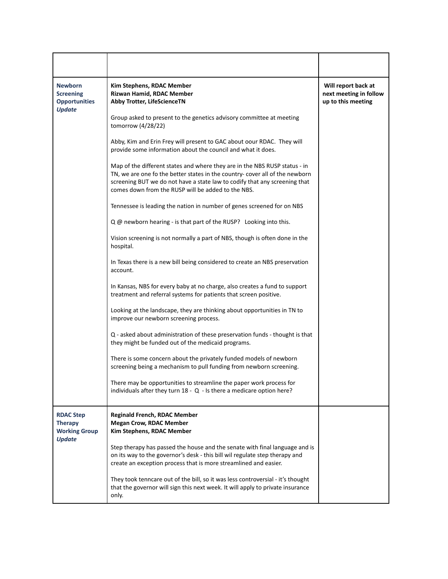| <b>Newborn</b><br><b>Screening</b><br><b>Opportunities</b><br><b>Update</b> | Kim Stephens, RDAC Member<br>Rizwan Hamid, RDAC Member<br>Abby Trotter, LifeScienceTN                                                                                                                                                                                                          | Will report back at<br>next meeting in follow<br>up to this meeting |
|-----------------------------------------------------------------------------|------------------------------------------------------------------------------------------------------------------------------------------------------------------------------------------------------------------------------------------------------------------------------------------------|---------------------------------------------------------------------|
|                                                                             | Group asked to present to the genetics advisory committee at meeting<br>tomorrow (4/28/22)                                                                                                                                                                                                     |                                                                     |
|                                                                             | Abby, Kim and Erin Frey will present to GAC about oour RDAC. They will<br>provide some information about the council and what it does.                                                                                                                                                         |                                                                     |
|                                                                             | Map of the different states and where they are in the NBS RUSP status - in<br>TN, we are one fo the better states in the country- cover all of the newborn<br>screening BUT we do not have a state law to codify that any screening that<br>comes down from the RUSP will be added to the NBS. |                                                                     |
|                                                                             | Tennessee is leading the nation in number of genes screened for on NBS                                                                                                                                                                                                                         |                                                                     |
|                                                                             | Q @ newborn hearing - is that part of the RUSP? Looking into this.                                                                                                                                                                                                                             |                                                                     |
|                                                                             | Vision screening is not normally a part of NBS, though is often done in the<br>hospital.                                                                                                                                                                                                       |                                                                     |
|                                                                             | In Texas there is a new bill being considered to create an NBS preservation<br>account.                                                                                                                                                                                                        |                                                                     |
|                                                                             | In Kansas, NBS for every baby at no charge, also creates a fund to support<br>treatment and referral systems for patients that screen positive.                                                                                                                                                |                                                                     |
|                                                                             | Looking at the landscape, they are thinking about opportunities in TN to<br>improve our newborn screening process.                                                                                                                                                                             |                                                                     |
|                                                                             | Q - asked about administration of these preservation funds - thought is that<br>they might be funded out of the medicaid programs.                                                                                                                                                             |                                                                     |
|                                                                             | There is some concern about the privately funded models of newborn<br>screening being a mechanism to pull funding from newborn screening.                                                                                                                                                      |                                                                     |
|                                                                             | There may be opportunities to streamline the paper work process for<br>individuals after they turn 18 - Q - Is there a medicare option here?                                                                                                                                                   |                                                                     |
| <b>RDAC Step</b><br><b>Therapy</b><br><b>Working Group</b><br><b>Update</b> | <b>Reginald French, RDAC Member</b><br><b>Megan Crow, RDAC Member</b><br>Kim Stephens, RDAC Member                                                                                                                                                                                             |                                                                     |
|                                                                             | Step therapy has passed the house and the senate with final language and is<br>on its way to the governor's desk - this bill wil regulate step therapy and<br>create an exception process that is more streamlined and easier.                                                                 |                                                                     |
|                                                                             | They took tenncare out of the bill, so it was less controversial - it's thought<br>that the governor will sign this next week. It will apply to private insurance<br>only.                                                                                                                     |                                                                     |